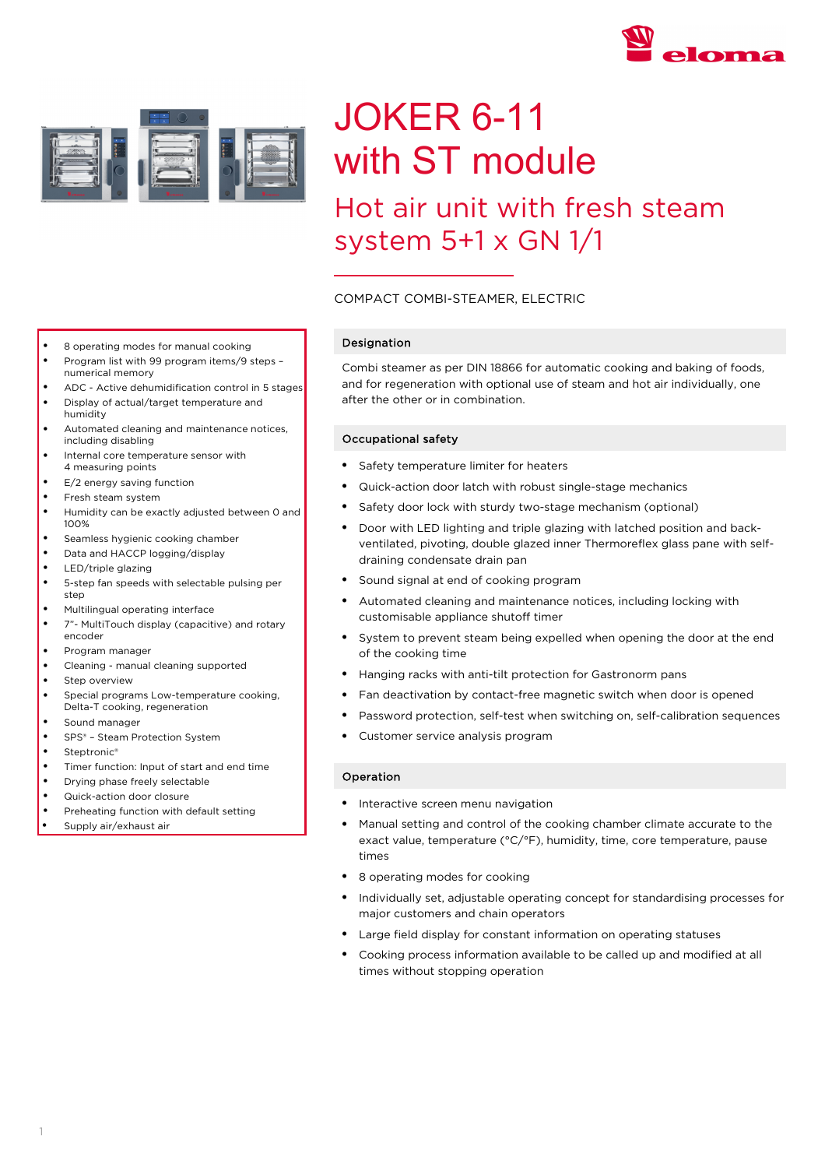



# JOKER 6-11 with ST module

# Hot air unit with fresh steam system 5+1 x GN 1/1

# COMPACT COMBI-STEAMER, ELECTRIC

# Designation

Combi steamer as per DIN 18866 for automatic cooking and baking of foods, and for regeneration with optional use of steam and hot air individually, one after the other or in combination.

## Occupational safety

- Safety temperature limiter for heaters
- Quick-action door latch with robust single-stage mechanics
- Safety door lock with sturdy two-stage mechanism (optional)
- Door with LED lighting and triple glazing with latched position and backventilated, pivoting, double glazed inner Thermoreflex glass pane with selfdraining condensate drain pan
- Sound signal at end of cooking program
- Automated cleaning and maintenance notices, including locking with customisable appliance shutoff timer
- System to prevent steam being expelled when opening the door at the end of the cooking time
- Hanging racks with anti-tilt protection for Gastronorm pans
- Fan deactivation by contact-free magnetic switch when door is opened
- Password protection, self-test when switching on, self-calibration sequences
- Customer service analysis program

## Operation

- Interactive screen menu navigation
- Manual setting and control of the cooking chamber climate accurate to the exact value, temperature (°C/°F), humidity, time, core temperature, pause times
- 8 operating modes for cooking
- Individually set, adjustable operating concept for standardising processes for major customers and chain operators
- Large field display for constant information on operating statuses
- Cooking process information available to be called up and modified at all times without stopping operation
- 8 operating modes for manual cooking
- Program list with 99 program items/9 steps numerical memory
- ADC Active dehumidification control in 5 stages
- Display of actual/target temperature and humidity
- Automated cleaning and maintenance notices, including disabling
- Internal core temperature sensor with 4 measuring points
- E/2 energy saving function
- Fresh steam system
- Humidity can be exactly adjusted between 0 and 100%
- Seamless hygienic cooking chamber
- Data and HACCP logging/display
- LED/triple glazing
- 5-step fan speeds with selectable pulsing per step
- Multilingual operating interface
- 7"- MultiTouch display (capacitive) and rotary encoder
- Program manager
- Cleaning manual cleaning supported
- Step overview
- Special programs Low-temperature cooking, Delta-T cooking, regeneration
- Sound manager
- SPS® Steam Protection System
- Steptronic<sup>®</sup>
- Timer function: Input of start and end time
- Drying phase freely selectable
- Quick-action door closure
- Preheating function with default setting
- Supply air/exhaust air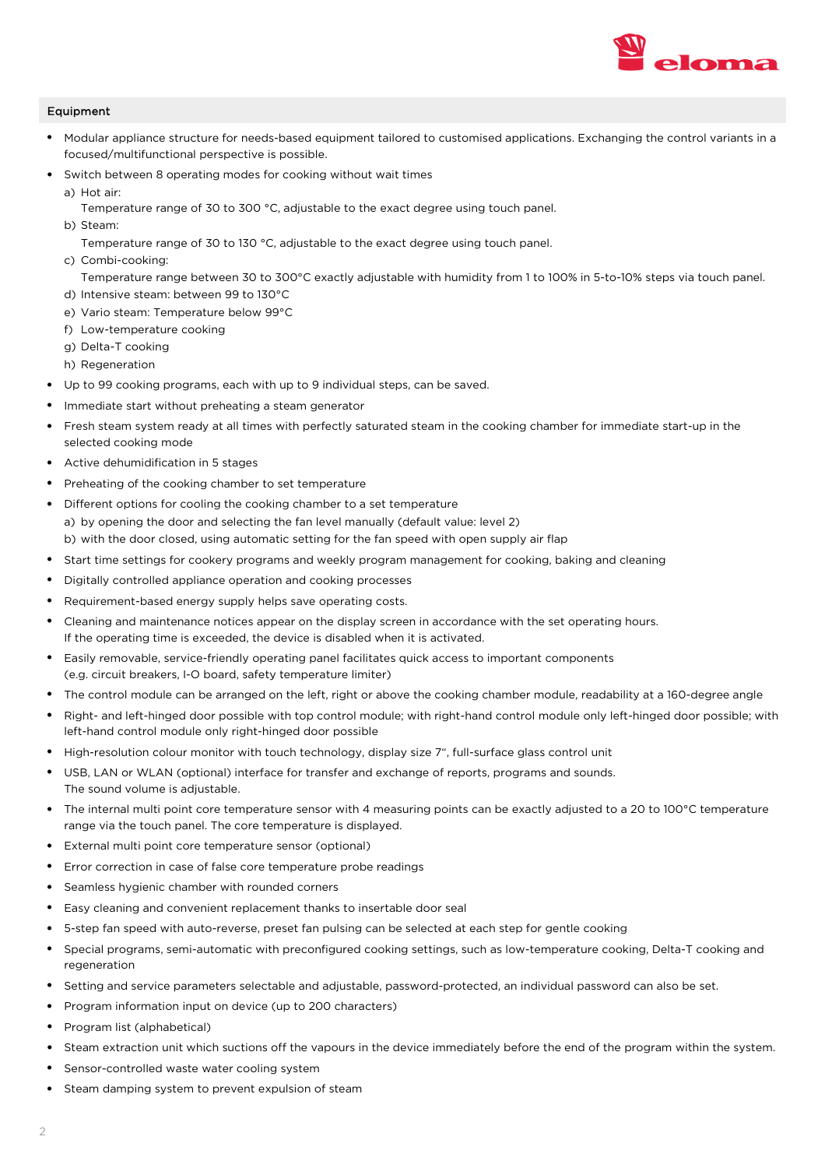

# Equipment

- Modular appliance structure for needs-based equipment tailored to customised applications. Exchanging the control variants in a focused/multifunctional perspective is possible.
- Switch between 8 operating modes for cooking without wait times
	- a) Hot air:
		- Temperature range of 30 to 300 °C, adjustable to the exact degree using touch panel.
	- b) Steam:
		- Temperature range of 30 to 130 °C, adjustable to the exact degree using touch panel.
	- c) Combi-cooking:

Temperature range between 30 to 300°C exactly adjustable with humidity from 1 to 100% in 5-to-10% steps via touch panel. d) Intensive steam: between 99 to 130°C

- e) Vario steam: Temperature below 99°C
- f) Low-temperature cooking
- g) Delta-T cooking
- h) Regeneration
- Up to 99 cooking programs, each with up to 9 individual steps, can be saved.
- Immediate start without preheating a steam generator
- Fresh steam system ready at all times with perfectly saturated steam in the cooking chamber for immediate start-up in the selected cooking mode
- Active dehumidification in 5 stages
- Preheating of the cooking chamber to set temperature
- Different options for cooling the cooking chamber to a set temperature a) by opening the door and selecting the fan level manually (default value: level 2) b) with the door closed, using automatic setting for the fan speed with open supply air flap
- Start time settings for cookery programs and weekly program management for cooking, baking and cleaning
- Digitally controlled appliance operation and cooking processes
- Requirement-based energy supply helps save operating costs.
- Cleaning and maintenance notices appear on the display screen in accordance with the set operating hours. If the operating time is exceeded, the device is disabled when it is activated.
- Easily removable, service-friendly operating panel facilitates quick access to important components (e.g. circuit breakers, I-O board, safety temperature limiter)
- The control module can be arranged on the left, right or above the cooking chamber module, readability at a 160-degree angle
- Right- and left-hinged door possible with top control module; with right-hand control module only left-hinged door possible; with left-hand control module only right-hinged door possible
- High-resolution colour monitor with touch technology, display size 7", full-surface glass control unit
- USB, LAN or WLAN (optional) interface for transfer and exchange of reports, programs and sounds. The sound volume is adjustable.
- The internal multi point core temperature sensor with 4 measuring points can be exactly adjusted to a 20 to 100°C temperature range via the touch panel. The core temperature is displayed.
- External multi point core temperature sensor (optional)
- Error correction in case of false core temperature probe readings
- Seamless hygienic chamber with rounded corners
- Easy cleaning and convenient replacement thanks to insertable door seal
- 5-step fan speed with auto-reverse, preset fan pulsing can be selected at each step for gentle cooking
- Special programs, semi-automatic with preconfigured cooking settings, such as low-temperature cooking, Delta-T cooking and regeneration
- Setting and service parameters selectable and adjustable, password-protected, an individual password can also be set.
- Program information input on device (up to 200 characters)
- Program list (alphabetical)
- Steam extraction unit which suctions off the vapours in the device immediately before the end of the program within the system.
- Sensor-controlled waste water cooling system
- Steam damping system to prevent expulsion of steam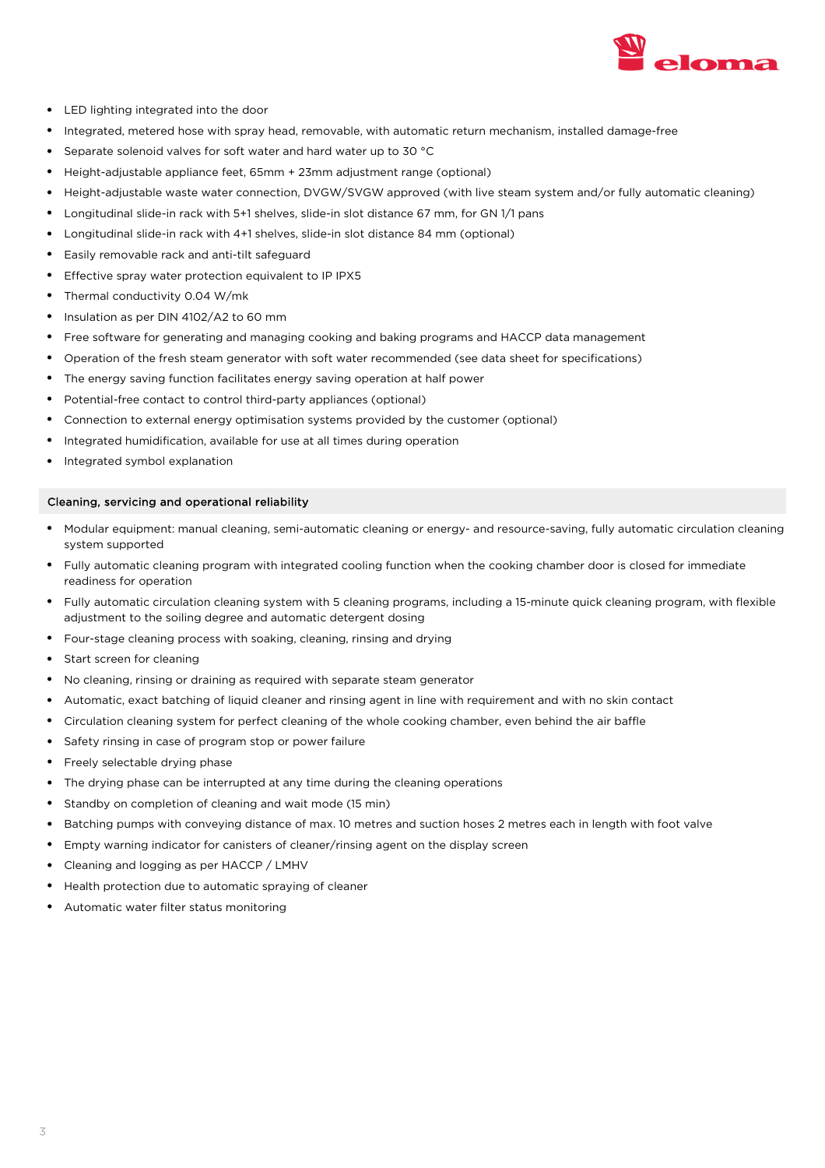

- LED lighting integrated into the door
- Integrated, metered hose with spray head, removable, with automatic return mechanism, installed damage-free
- Separate solenoid valves for soft water and hard water up to 30 °C
- Height-adjustable appliance feet, 65mm + 23mm adjustment range (optional)
- Height-adjustable waste water connection, DVGW/SVGW approved (with live steam system and/or fully automatic cleaning)
- Longitudinal slide-in rack with 5+1 shelves, slide-in slot distance 67 mm, for GN 1/1 pans
- Longitudinal slide-in rack with 4+1 shelves, slide-in slot distance 84 mm (optional)
- Easily removable rack and anti-tilt safeguard
- Effective spray water protection equivalent to IP IPX5
- Thermal conductivity 0.04 W/mk
- Insulation as per DIN 4102/A2 to 60 mm
- Free software for generating and managing cooking and baking programs and HACCP data management
- Operation of the fresh steam generator with soft water recommended (see data sheet for specifications)
- The energy saving function facilitates energy saving operation at half power
- Potential-free contact to control third-party appliances (optional)
- Connection to external energy optimisation systems provided by the customer (optional)
- Integrated humidification, available for use at all times during operation
- Integrated symbol explanation

#### Cleaning, servicing and operational reliability

- Modular equipment: manual cleaning, semi-automatic cleaning or energy- and resource-saving, fully automatic circulation cleaning system supported
- Fully automatic cleaning program with integrated cooling function when the cooking chamber door is closed for immediate readiness for operation
- Fully automatic circulation cleaning system with 5 cleaning programs, including a 15-minute quick cleaning program, with flexible adjustment to the soiling degree and automatic detergent dosing
- Four-stage cleaning process with soaking, cleaning, rinsing and drying
- Start screen for cleaning
- No cleaning, rinsing or draining as required with separate steam generator
- Automatic, exact batching of liquid cleaner and rinsing agent in line with requirement and with no skin contact
- Circulation cleaning system for perfect cleaning of the whole cooking chamber, even behind the air baffle
- Safety rinsing in case of program stop or power failure
- Freely selectable drying phase
- The drying phase can be interrupted at any time during the cleaning operations
- Standby on completion of cleaning and wait mode (15 min)
- Batching pumps with conveying distance of max. 10 metres and suction hoses 2 metres each in length with foot valve
- Empty warning indicator for canisters of cleaner/rinsing agent on the display screen
- Cleaning and logging as per HACCP / LMHV
- Health protection due to automatic spraying of cleaner
- Automatic water filter status monitoring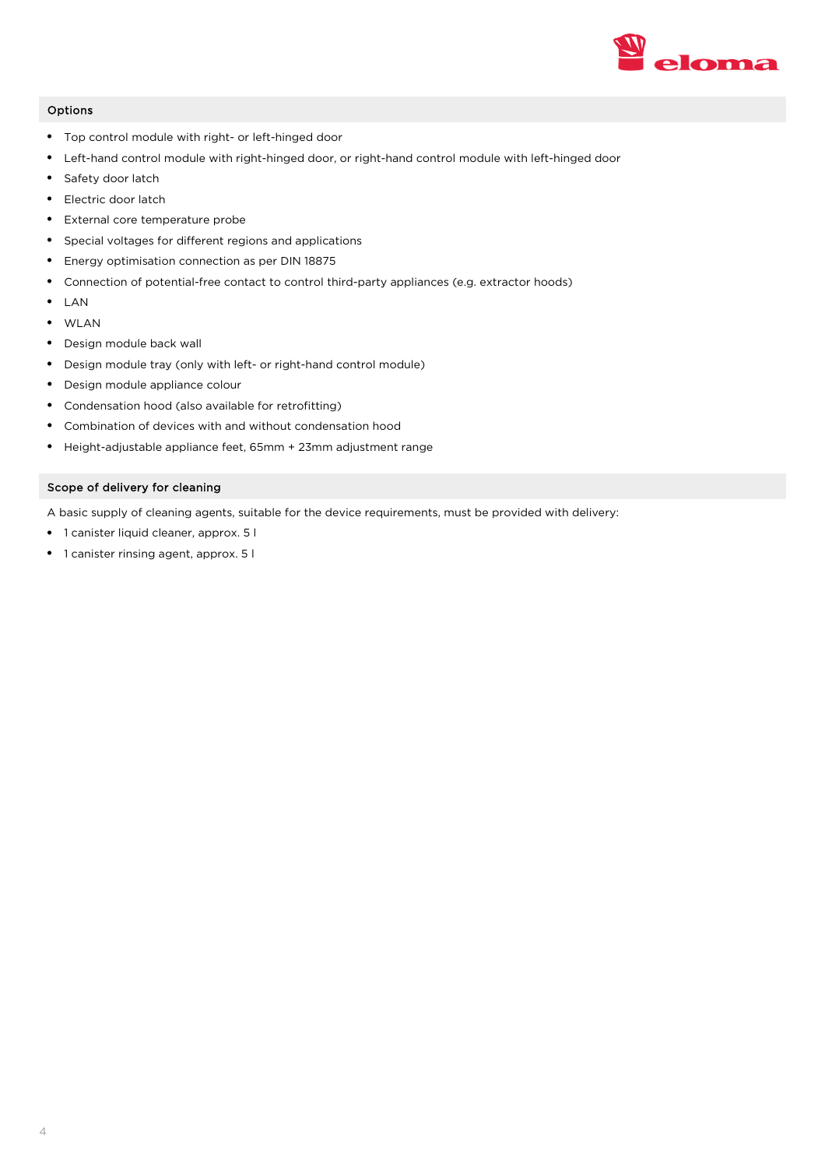

# Options

- Top control module with right- or left-hinged door
- Left-hand control module with right-hinged door, or right-hand control module with left-hinged door
- Safety door latch
- Electric door latch
- External core temperature probe
- Special voltages for different regions and applications
- Energy optimisation connection as per DIN 18875
- Connection of potential-free contact to control third-party appliances (e.g. extractor hoods)
- LAN
- WLAN
- Design module back wall
- Design module tray (only with left- or right-hand control module)
- Design module appliance colour
- Condensation hood (also available for retrofitting)
- Combination of devices with and without condensation hood
- Height-adjustable appliance feet, 65mm + 23mm adjustment range

# Scope of delivery for cleaning

A basic supply of cleaning agents, suitable for the device requirements, must be provided with delivery:

- 1 canister liquid cleaner, approx. 5 l
- 1 canister rinsing agent, approx. 5 l